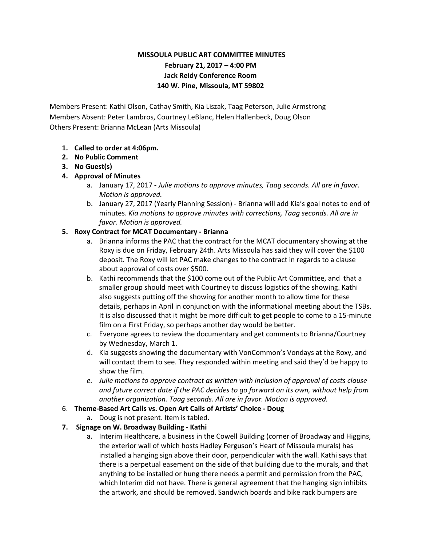# **MISSOULA PUBLIC ART COMMITTEE MINUTES February 21, 2017 – 4:00 PM Jack Reidy Conference Room 140 W. Pine, Missoula, MT 59802**

Members Present: Kathi Olson, Cathay Smith, Kia Liszak, Taag Peterson, Julie Armstrong Members Absent: Peter Lambros, Courtney LeBlanc, Helen Hallenbeck, Doug Olson Others Present: Brianna McLean (Arts Missoula)

- **1. Called to order at 4:06pm.**
- **2. No Public Comment**
- **3. No Guest(s)**
- **4. Approval of Minutes**
	- a. January 17, 2017 *Julie motions to approve minutes, Taag seconds. All are in favor. Motion is approved.*
	- b. January 27, 2017 (Yearly Planning Session) Brianna will add Kia's goal notes to end of minutes. *Kia motions to approve minutes with corrections, Taag seconds. All are in favor. Motion is approved.*

### **5. Roxy Contract for MCAT Documentary - Brianna**

- a. Brianna informs the PAC that the contract for the MCAT documentary showing at the Roxy is due on Friday, February 24th. Arts Missoula has said they will cover the \$100 deposit. The Roxy will let PAC make changes to the contract in regards to a clause about approval of costs over \$500.
- b. Kathi recommends that the \$100 come out of the Public Art Committee, and that a smaller group should meet with Courtney to discuss logistics of the showing. Kathi also suggests putting off the showing for another month to allow time for these details, perhaps in April in conjunction with the informational meeting about the TSBs. It is also discussed that it might be more difficult to get people to come to a 15-minute film on a First Friday, so perhaps another day would be better.
- c. Everyone agrees to review the documentary and get comments to Brianna/Courtney by Wednesday, March 1.
- d. Kia suggests showing the documentary with VonCommon's Vondays at the Roxy, and will contact them to see. They responded within meeting and said they'd be happy to show the film.
- *e. Julie motions to approve contract as written with inclusion of approval of costs clause and future correct date if the PAC decides to go forward on its own, without help from another organization. Taag seconds. All are in favor. Motion is approved.*
- 6. **Theme-Based Art Calls vs. Open Art Calls of Artists' Choice Doug**
	- a. Doug is not present. Item is tabled.
- **7. Signage on W. Broadway Building Kathi**
	- a. Interim Healthcare, a business in the Cowell Building (corner of Broadway and Higgins, the exterior wall of which hosts Hadley Ferguson's Heart of Missoula murals) has installed a hanging sign above their door, perpendicular with the wall. Kathi says that there is a perpetual easement on the side of that building due to the murals, and that anything to be installed or hung there needs a permit and permission from the PAC, which Interim did not have. There is general agreement that the hanging sign inhibits the artwork, and should be removed. Sandwich boards and bike rack bumpers are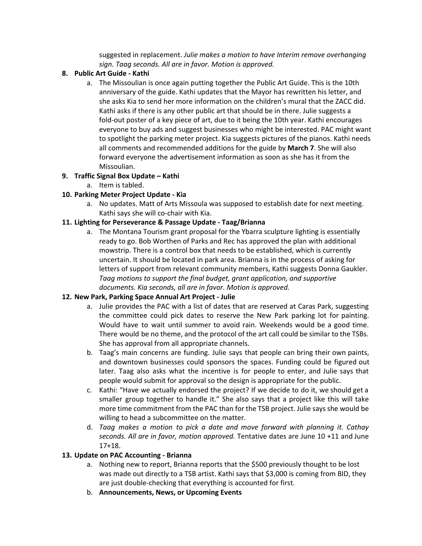suggested in replacement. *Julie makes a motion to have Interim remove overhanging sign. Taag seconds. All are in favor. Motion is approved.*

#### **8. Public Art Guide - Kathi**

a. The Missoulian is once again putting together the Public Art Guide. This is the 10th anniversary of the guide. Kathi updates that the Mayor has rewritten his letter, and she asks Kia to send her more information on the children's mural that the ZACC did. Kathi asks if there is any other public art that should be in there. Julie suggests a fold-out poster of a key piece of art, due to it being the 10th year. Kathi encourages everyone to buy ads and suggest businesses who might be interested. PAC might want to spotlight the parking meter project. Kia suggests pictures of the pianos. Kathi needs all comments and recommended additions for the guide by **March 7**. She will also forward everyone the advertisement information as soon as she has it from the Missoulian.

### **9. Traffic Signal Box Update – Kathi**

a. Item is tabled.

## **10. Parking Meter Project Update - Kia**

a. No updates. Matt of Arts Missoula was supposed to establish date for next meeting. Kathi says she will co-chair with Kia.

### **11. Lighting for Perseverance & Passage Update - Taag/Brianna**

a. The Montana Tourism grant proposal for the Ybarra sculpture lighting is essentially ready to go. Bob Worthen of Parks and Rec has approved the plan with additional mowstrip. There is a control box that needs to be established, which is currently uncertain. It should be located in park area. Brianna is in the process of asking for letters of support from relevant community members, Kathi suggests Donna Gaukler. *Taag motions to support the final budget, grant application, and supportive documents. Kia seconds, all are in favor. Motion is approved.*

### **12. New Park, Parking Space Annual Art Project - Julie**

- a. Julie provides the PAC with a list of dates that are reserved at Caras Park, suggesting the committee could pick dates to reserve the New Park parking lot for painting. Would have to wait until summer to avoid rain. Weekends would be a good time. There would be no theme, and the protocol of the art call could be similar to the TSBs. She has approval from all appropriate channels.
- b. Taag's main concerns are funding. Julie says that people can bring their own paints, and downtown businesses could sponsors the spaces. Funding could be figured out later. Taag also asks what the incentive is for people to enter, and Julie says that people would submit for approval so the design is appropriate for the public.
- c. Kathi: "Have we actually endorsed the project? If we decide to do it, we should get a smaller group together to handle it." She also says that a project like this will take more time commitment from the PAC than for the TSB project. Julie says she would be willing to head a subcommittee on the matter.
- d. *Taag makes a motion to pick a date and move forward with planning it. Cathay seconds. All are in favor, motion approved.* Tentative dates are June 10 +11 and June 17+18.

### **13. Update on PAC Accounting - Brianna**

- a. Nothing new to report, Brianna reports that the \$500 previously thought to be lost was made out directly to a TSB artist. Kathi says that \$3,000 is coming from BID, they are just double-checking that everything is accounted for first.
- b. **Announcements, News, or Upcoming Events**